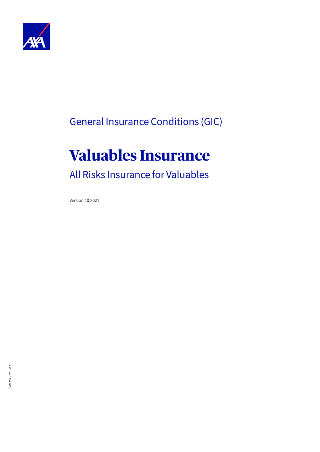

## General Insurance Conditions (GIC)

# **Valuables Insurance**

## All Risks Insurance for Valuables

Version 10.2021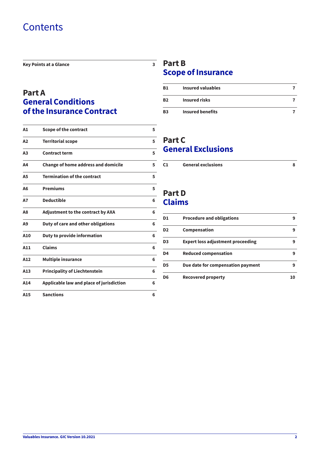## **Contents**

**[Key Points at a Glance](#page-2-0) 3**

### **[Part A](#page-4-0) [General Conditions](#page-4-0)  [of the Insurance Contract](#page-4-0)**

| A1             | Scope of the contract                      | 5 |
|----------------|--------------------------------------------|---|
| A2             | <b>Territorial scope</b>                   | 5 |
| A <sub>3</sub> | <b>Contract term</b>                       | 5 |
| A4             | <b>Change of home address and domicile</b> | 5 |
| <b>A5</b>      | <b>Termination of the contract</b>         | 5 |
| A6             | <b>Premiums</b>                            | 5 |
| <b>A7</b>      | <b>Deductible</b>                          | 6 |
| A8             | <b>Adjustment to the contract by AXA</b>   | 6 |
| A <sub>9</sub> | Duty of care and other obligations         | 6 |
| A10            | Duty to provide information                | 6 |
| A11            | <b>Claims</b>                              | 6 |
| A12            | <b>Multiple insurance</b>                  | 6 |
| A13            | <b>Principality of Liechtenstein</b>       | 6 |
| A14            | Applicable law and place of jurisdiction   | 6 |
| A15            | <b>Sanctions</b>                           | 6 |

### $\frac{1}{3}$  [Part B](#page-6-0) **[Scope of Insurance](#page-6-0)**

| <b>B1</b> | Insured valuables       |  |
|-----------|-------------------------|--|
| <b>B2</b> | <b>Insured risks</b>    |  |
| <b>B3</b> | <b>Insured benefits</b> |  |

### **[Part C](#page-7-0) [General Exclusions](#page-7-0)**

| C <sub>1</sub><br><b>General exclusions</b> |  |
|---------------------------------------------|--|
|---------------------------------------------|--|

## **[Part D](#page-8-0) [Claims](#page-8-0)**

| D1             | <b>Procedure and obligations</b>         | q |
|----------------|------------------------------------------|---|
| D <sub>2</sub> | Compensation                             | 9 |
| D <sub>3</sub> | <b>Expert loss adjustment proceeding</b> | q |
| D <sub>4</sub> | <b>Reduced compensation</b>              | 9 |
| D <sub>5</sub> | Due date for compensation payment        | q |
| D <sub>6</sub> | <b>Recovered property</b>                |   |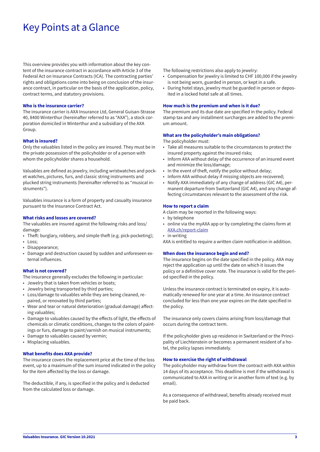## <span id="page-2-0"></span>Key Points at a Glance

This overview provides you with information about the key content of the insurance contract in accordance with Article 3 of the Federal Act on Insurance Contracts (ICA). The contracting parties' rights and obligations come into being on conclusion of the insurance contract, in particular on the basis of the application, policy, contract terms, and statutory provisions.

#### **Who is the insurance carrier?**

The insurance carrier is AXA Insurance Ltd, General Guisan-Strasse 40, 8400 Winterthur (hereinafter referred to as "AXA"), a stock corporation domiciled in Winterthur and a subsidiary of the AXA Group.

#### **What is insured?**

Only the valuables listed in the policy are insured. They must be in the private possession of the policyholder or of a person with whom the policyholder shares a household.

Valuables are defined as jewelry, including wristwatches and pocket watches, pictures, furs, and classic string instruments and plucked string instruments (hereinafter referred to as "musical instruments").

Valuables insurance is a form of property and casualty insurance pursuant to the Insurance Contract Act.

#### **What risks and losses are covered?**

The valuables are insured against the following risks and loss/ damage:

- Theft: burglary, robbery, and simple theft (e.g. pick-pocketing);
- Loss;
- Disappearance;
- Damage and destruction caused by sudden and unforeseen external influences.

#### **What is not covered?**

The insurance generally excludes the following in particular:

- Jewelry that is taken from vehicles or boats;
- Jewelry being transported by third parties;
- Loss/damage to valuables while they are being cleaned, repaired, or renovated by third parties;
- Wear and tear or natural deterioration (gradual damage) affecting valuables;
- Damage to valuables caused by the effects of light, the effects of chemicals or climatic conditions, changes to the colors of paintings or furs, damage to paint/varnish on musical instruments;
- Damage to valuables caused by vermin;
- Misplacing valuables.

#### **What benefits does AXA provide?**

The insurance covers the replacement price at the time of the loss event, up to a maximum of the sum insured indicated in the policy for the item affected by the loss or damage.

The deductible, if any, is specified in the policy and is deducted from the calculated loss or damage.

The following restrictions also apply to jewelry:

- Compensation for jewelry is limited to CHF 100,000 if the jewelry is not being worn, guarded in person, or kept in a safe.
- During hotel stays, jewelry must be guarded in person or deposited in a locked hotel safe at all times.

#### **How much is the premium and when is it due?**

The premium and its due date are specified in the policy. Federal stamp tax and any installment surcharges are added to the premium amount.

#### **What are the policyholder's main obligations?**

The policyholder must:

- Take all measures suitable to the circumstances to protect the insured property against the insured risks;
- Inform AXA without delay of the occurrence of an insured event and minimize the loss/damage;
- In the event of theft, notify the police without delay;
- Inform AXA without delay if missing objects are recovered;
- Notify AXA immediately of any change of address (GIC A4), permanent departure from Switzerland (GIC A4), and any change affecting circumstances relevant to the assessment of the risk.

#### **How to report a claim**

A claim may be reported in the following ways:

- by telephone
- online via the myAXA app or by completing the claims form at [AXA.ch/report-claim](http://AXA.ch/report-claim)
- in writing

AXA is entitled to require a written claim notification in addition.

#### **When does the insurance begin and end?**

The insurance begins on the date specified in the policy. AXA may reject the application up until the date on which it issues the policy or a definitive cover note. The insurance is valid for the period specified in the policy.

Unless the insurance contract is terminated on expiry, it is automatically renewed for one year at a time. An insurance contract concluded for less than one year expires on the date specified in the policy.

The insurance only covers claims arising from loss/damage that occurs during the contract term.

If the policyholder gives up residence in Switzerland or the Principality of Liechtenstein or becomes a permanent resident of a hotel, the policy lapses immediately.

#### **How to exercise the right of withdrawal**

The policyholder may withdraw from the contract with AXA within 14 days of its acceptance. This deadline is met if the withdrawal is communicated to AXA in writing or in another form of text (e.g. by email).

As a consequence of withdrawal, benefits already received must be paid back.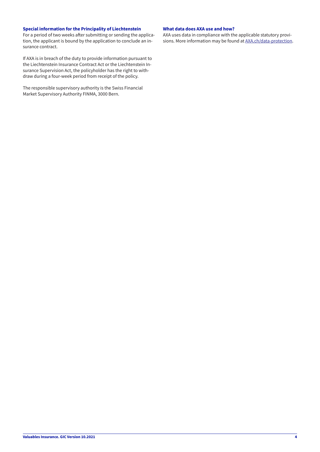#### **Special information for the Principality of Liechtenstein**

For a period of two weeks after submitting or sending the application, the applicant is bound by the application to conclude an insurance contract.

If AXA is in breach of the duty to provide information pursuant to the Liechtenstein Insurance Contract Act or the Liechtenstein Insurance Supervision Act, the policyholder has the right to withdraw during a four-week period from receipt of the policy.

The responsible supervisory authority is the Swiss Financial Market Supervisory Authority FINMA, 3000 Bern.

#### **What data does AXA use and how?**

AXA uses data in compliance with the applicable statutory provisions. More information may be found at AX[A.ch/data-protection.](http://www.axa.ch/en/information/data-protection)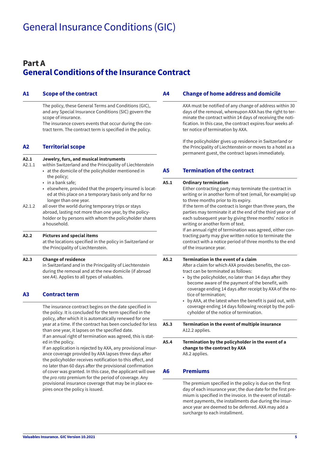### <span id="page-4-0"></span>**Part A General Conditions of the Insurance Contract**

#### **A1 Scope of the contract**

The policy, these General Terms and Conditions (GIC), and any Special Insurance Conditions (SIC) govern the scope of insurance.

The insurance covers events that occur during the contract term. The contract term is specified in the policy.

#### **A2 Territorial scope**

| A2.1<br>A2.1.1 | Jewelry, furs, and musical instruments<br>within Switzerland and the Principality of Liechtenstein<br>• at the domicile of the policyholder mentioned in<br>the policy;<br>• in a bank safe;<br>• elsewhere, provided that the property insured is locat-<br>ed at this place on a temporary basis only and for no<br>longer than one year. |
|----------------|---------------------------------------------------------------------------------------------------------------------------------------------------------------------------------------------------------------------------------------------------------------------------------------------------------------------------------------------|
| A2.1.2         | all over the world during temporary trips or stays<br>abroad, lasting not more than one year, by the policy-<br>holder or by persons with whom the policyholder shares<br>a household.                                                                                                                                                      |
| A2.2           | <b>Pictures and special items</b><br>at the locations specified in the policy in Switzerland or<br>the Principality of Liechtenstein.                                                                                                                                                                                                       |
|                |                                                                                                                                                                                                                                                                                                                                             |

**A2.3 Change of residence** 

in Switzerland and in the Principality of Liechtenstein during the removal and at the new domicile (if abroad see A4). Applies to all types of valuables.

#### **A3 Contract term**

The insurance contract begins on the date specified in the policy. It is concluded for the term specified in the policy, after which it is automatically renewed for one year at a time. If the contract has been concluded for less than one year, it lapses on the specified date.

If an annual right of termination was agreed, this is stated in the policy.

If an application is rejected by AXA, any provisional insurance coverage provided by AXA lapses three days after the policyholder receives notification to this effect, and no later than 60 days after the provisional confirmation of cover was granted. In this case, the applicant will owe the *pro rata* premium for the period of coverage. Any provisional insurance coverage that may be in place expires once the policy is issued.

#### **A4 Change of home address and domicile**

AXA must be notified of any change of address within 30 days of the removal, whereupon AXA has the right to terminate the contract within 14 days of receiving the notification. In this case, the contract expires four weeks after notice of termination by AXA.

If the policyholder gives up residence in Switzerland or the Principality of Liechtenstein or moves to a hotel as a permanent guest, the contract lapses immediately.

#### **A5 Termination of the contract**

| A5.4 | Termination by the policyholder in the event of a                                                                                                                                                                                                                                                                                                                                                                                                                                                                                                                                                                                     |
|------|---------------------------------------------------------------------------------------------------------------------------------------------------------------------------------------------------------------------------------------------------------------------------------------------------------------------------------------------------------------------------------------------------------------------------------------------------------------------------------------------------------------------------------------------------------------------------------------------------------------------------------------|
| A5.3 | Termination in the event of multiple insurance<br>A12.2 applies.                                                                                                                                                                                                                                                                                                                                                                                                                                                                                                                                                                      |
| A5.2 | Termination in the event of a claim<br>After a claim for which AXA provides benefits, the con-<br>tract can be terminated as follows:<br>by the policyholder, no later than 14 days after they<br>become aware of the payment of the benefit, with<br>coverage ending 14 days after receipt by AXA of the no-<br>tice of termination;<br>• by AXA, at the latest when the benefit is paid out, with<br>coverage ending 14 days following receipt by the poli-<br>cyholder of the notice of termination.                                                                                                                               |
| A5.1 | <b>Ordinary termination</b><br>Either contracting party may terminate the contract in<br>writing or in another form of text (email, for example) up<br>to three months prior to its expiry.<br>If the term of the contract is longer than three years, the<br>parties may terminate it at the end of the third year or of<br>each subsequent year by giving three months' notice in<br>writing or another form of text.<br>If an annual right of termination was agreed, either con-<br>tracting party may give written notice to terminate the<br>contract with a notice period of three months to the end<br>of the insurance year. |

**change to the contract by AXA** A8.2 applies.

#### **A6 Premiums**

The premium specified in the policy is due on the first day of each insurance year; the due date for the first premium is specified in the invoice. In the event of installment payments, the installments due during the insurance year are deemed to be deferred. AXA may add a surcharge to each installment.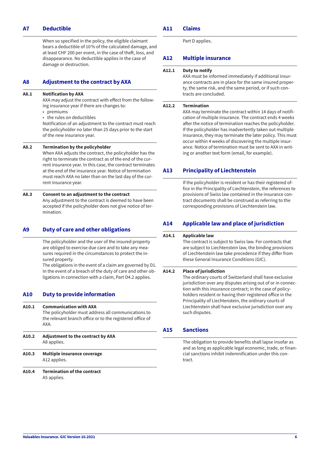#### <span id="page-5-0"></span>**A7 Deductible**

When so specified in the policy, the eligible claimant bears a deductible of 10% of the calculated damage, and at least CHF 200 per event, in the case of theft, loss, and disappearance. No deductible applies in the case of damage or destruction.

#### **A8 Adjustment to the contract by AXA**

#### **A8.1 Notification by AXA**

AXA may adjust the contract with effect from the following insurance year if there are changes to:

- premiums
- the rules on deductibles

Notification of an adjustment to the contract must reach the policyholder no later than 25 days prior to the start of the new insurance year.

#### **A8.2 Termination by the policyholder**

When AXA adjusts the contract, the policyholder has the right to terminate the contract as of the end of the current insurance year. In this case, the contract terminates at the end of the insurance year. Notice of termination must reach AXA no later than on the last day of the current insurance year.

#### **A8.3 Consent to an adjustment to the contract**

Any adjustment to the contract is deemed to have been accepted if the policyholder does not give notice of termination.

#### **A9 Duty of care and other obligations**

The policyholder and the user of the insured property are obliged to exercise due care and to take any measures required in the circumstances to protect the insured property.

The obligations in the event of a claim are governed by D1. In the event of a breach of the duty of care and other obligations in connection with a claim, Part D4.2 applies.

#### **A10 Duty to provide information**

| A10.2 | <b>Adjustment to the contract by AXA</b>                                                                                                                  |
|-------|-----------------------------------------------------------------------------------------------------------------------------------------------------------|
| A10.1 | <b>Communication with AXA</b><br>The policyholder must address all communications to<br>the relevant branch office or to the registered office of<br>AXA. |

- A8 applies.
- **A10.3 Multiple insurance coverage** A12 applies.
- **A10.4 Termination of the contract** A5 applies.

#### **A11 Claims**

Part D applies.

#### **A12 Multiple insurance**

#### **A12.1 Duty to notify**

AXA must be informed immediately if additional insurance contracts are in place for the same insured property, the same risk, and the same period, or if such contracts are concluded.

#### **A12.2 Termination**

AXA may terminate the contract within 14 days of notification of multiple insurance. The contract ends 4 weeks after the notice of termination reaches the policyholder. If the policyholder has inadvertently taken out multiple insurance, they may terminate the later policy. This must occur within 4 weeks of discovering the multiple insurance. Notice of termination must be sent to AXA in writing or another text form (email, for example).

#### **A13 Principality of Liechtenstein**

If the policyholder is resident or has their registered office in the Principality of Liechtenstein, the references to provisions of Swiss law contained in the insurance contract documents shall be construed as referring to the corresponding provisions of Liechtenstein law.

#### **A14 Applicable law and place of jurisdiction**

#### **A14.1 Applicable law**

The contract is subject to Swiss law. For contracts that are subject to Liechtenstein law, the binding provisions of Liechtenstein law take precedence if they differ from these General Insurance Conditions (GIC).

#### **A14.2 Place of jurisdiction**

The ordinary courts of Switzerland shall have exclusive jurisdiction over any disputes arising out of or in connection with this insurance contract; in the case of policyholders resident or having their registered office in the Principality of Liechtenstein, the ordinary courts of Liechtenstein shall have exclusive jurisdiction over any such disputes.

#### **A15 Sanctions**

The obligation to provide benefits shall lapse insofar as and as long as applicable legal economic, trade, or financial sanctions inhibit indemnification under this contract.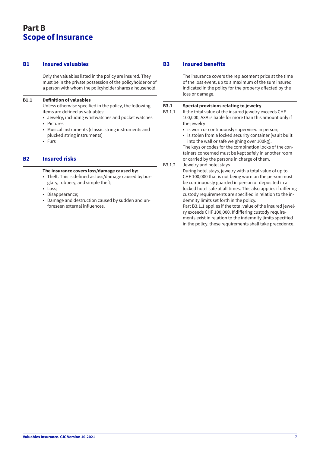### <span id="page-6-0"></span>**Part B Scope of Insurance**

#### **B1 Insured valuables**

Only the valuables listed in the policy are insured. They must be in the private possession of the policyholder or of a person with whom the policyholder shares a household.

#### **B1.1 Definition of valuables**

Unless otherwise specified in the policy, the following items are defined as valuables:

- Jewelry, including wristwatches and pocket watches
- Pictures
- Musical instruments (classic string instruments and plucked string instruments)
- Furs

#### **B2 Insured risks**

#### **The insurance covers loss/damage caused by:**

- Theft. This is defined as loss/damage caused by burglary, robbery, and simple theft;
- Loss:
- Disappearance;
- Damage and destruction caused by sudden and unforeseen external influences.

#### **B3 Insured benefits**

The insurance covers the replacement price at the time of the loss event, up to a maximum of the sum insured indicated in the policy for the property affected by the loss or damage.

#### **B3.1 Special provisions relating to jewelry**

- B3.1.1 If the total value of the insured jewelry exceeds CHF 100,000, AXA is liable for more than this amount only if the jewelry
	- is worn or continuously supervised in person;
	- is stolen from a locked security container (vault built into the wall or safe weighing over 100kg).

The keys or codes for the combination locks of the containers concerned must be kept safely in another room or carried by the persons in charge of them.

B3.1.2 Jewelry and hotel stays

During hotel stays, jewelry with a total value of up to CHF 100,000 that is not being worn on the person must be continuously guarded in person or deposited in a locked hotel safe at all times. This also applies if differing custody requirements are specified in relation to the indemnity limits set forth in the policy.

Part B3.1.1 applies if the total value of the insured jewelry exceeds CHF 100,000. If differing custody requirements exist in relation to the indemnity limits specified in the policy, these requirements shall take precedence.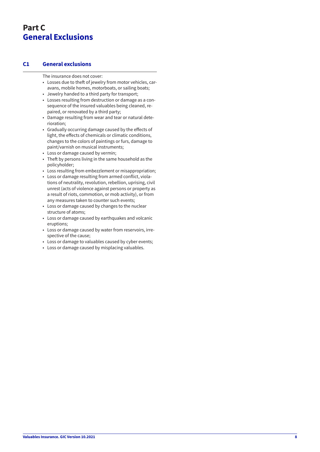## <span id="page-7-0"></span>**Part C General Exclusions**

#### **C1 General exclusions**

The insurance does not cover:

- Losses due to theft of jewelry from motor vehicles, caravans, mobile homes, motorboats, or sailing boats;
- Jewelry handed to a third party for transport;
- Losses resulting from destruction or damage as a consequence of the insured valuables being cleaned, repaired, or renovated by a third party;
- Damage resulting from wear and tear or natural deterioration;
- Gradually occurring damage caused by the effects of light, the effects of chemicals or climatic conditions, changes to the colors of paintings or furs, damage to paint/varnish on musical instruments;
- Loss or damage caused by vermin;
- Theft by persons living in the same household as the policyholder;
- Loss resulting from embezzlement or misappropriation;
- Loss or damage resulting from armed conflict, violations of neutrality, revolution, rebellion, uprising, civil unrest (acts of violence against persons or property as a result of riots, commotion, or mob activity), or from any measures taken to counter such events;
- Loss or damage caused by changes to the nuclear structure of atoms;
- Loss or damage caused by earthquakes and volcanic eruptions;
- Loss or damage caused by water from reservoirs, irrespective of the cause;
- Loss or damage to valuables caused by cyber events;
- Loss or damage caused by misplacing valuables.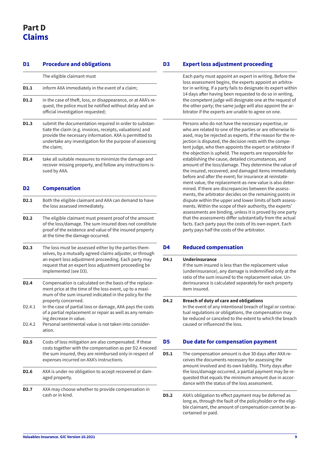## <span id="page-8-0"></span>**Part D Claims**

| D1                  | <b>Procedure and obligations</b>                                                                                                                                                                                                                           |
|---------------------|------------------------------------------------------------------------------------------------------------------------------------------------------------------------------------------------------------------------------------------------------------|
|                     | The eligible claimant must                                                                                                                                                                                                                                 |
| D1.1                | inform AXA immediately in the event of a claim;                                                                                                                                                                                                            |
| D1.2                | in the case of theft, loss, or disappearance, or at AXA's re-<br>quest, the police must be notified without delay and an<br>official investigation requested;                                                                                              |
| D1.3                | submit the documentation required in order to substan-<br>tiate the claim (e.g. invoices, receipts, valuations) and<br>provide the necessary information. AXA is permitted to<br>undertake any investigation for the purpose of assessing<br>the claim;    |
| D1.4                | take all suitable measures to minimize the damage and<br>recover missing property, and follow any instructions is-<br>sued by AXA.                                                                                                                         |
| D <sub>2</sub>      | <b>Compensation</b>                                                                                                                                                                                                                                        |
| D <sub>2.1</sub>    | Both the eligible claimant and AXA can demand to have<br>the loss assessed immediately.                                                                                                                                                                    |
| D <sub>2</sub> .2   | The eligible claimant must present proof of the amount<br>of the loss/damage. The sum insured does not constitute<br>proof of the existence and value of the insured property<br>at the time the damage occurred.                                          |
| D <sub>2</sub> .3   | The loss must be assessed either by the parties them-<br>selves, by a mutually agreed claims adjuster, or through<br>an expert loss adjustment proceeding. Each party may<br>request that an expert loss adjustment proceeding be<br>implemented (see D3). |
| D <sub>2</sub> .4   | Compensation is calculated on the basis of the replace-<br>ment price at the time of the loss event, up to a maxi-<br>mum of the sum insured indicated in the policy for the<br>property concerned.                                                        |
| D <sub>2</sub> .4.1 | In the case of partial loss or damage, AXA pays the costs<br>of a partial replacement or repair as well as any remain-<br>ing decrease in value.                                                                                                           |
| D <sub>2</sub> .4.2 | Personal sentimental value is not taken into consider-<br>ation.                                                                                                                                                                                           |
| D <sub>2</sub> .5   | Costs of loss mitigation are also compensated. If these<br>costs together with the compensation as per D2.4 exceed<br>the sum insured, they are reimbursed only in respect of<br>expenses incurred on AXA's instructions.                                  |
| D <sub>2</sub> .6   | AXA is under no obligation to accept recovered or dam-<br>aged property.                                                                                                                                                                                   |
| <b>D2.7</b>         | AXA may choose whether to provide compensation in<br>cash or in kind.                                                                                                                                                                                      |

#### **Expert loss adjustment proceeding**

Each party must appoint an expert in writing. Before the loss assessment begins, the experts appoint an arbitrator in writing. If a party fails to designate its expert within 14 days after having been requested to do so in writing, the competent judge will designate one at the request of the other party; the same judge will also appoint the arbitrator if the experts are unable to agree on one.

Persons who do not have the necessary expertise, or who are related to one of the parties or are otherwise biased, may be rejected as experts. If the reason for the rejection is disputed, the decision rests with the competent judge, who then appoints the expert or arbitrator if the objection is upheld. The experts are responsible for establishing the cause, detailed circumstances, and amount of the loss/damage. They determine the value of the insured, recovered, and damaged items immediately before and after the event; for insurance at reinstatement value, the replacement-as-new value is also determined. If there are discrepancies between the assessments, the arbitrator decides on the remaining points in dispute within the upper and lower limits of both assessments. Within the scope of their authority, the experts' assessments are binding, unless it is proved by one party that the assessments differ substantially from the actual facts. Each party pays the costs of its own expert. Each party pays half the costs of the arbitrator.

#### **D4 Reduced compensation**

| D4.1 | Underinsurance<br>If the sum insured is less than the replacement value<br>(underinsurance), any damage is indemnified only at the<br>ratio of the sum insured to the replacement value. Un-<br>derinsurance is calculated separately for each property<br>item insured. |
|------|--------------------------------------------------------------------------------------------------------------------------------------------------------------------------------------------------------------------------------------------------------------------------|
| D4.2 | <b>Breach of duty of care and obligations</b><br>In the event of any intentional breach of legal or contrac-<br>tual regulations or obligations, the compensation may<br>be reduced or canceled to the extent to which the breach<br>caused or influenced the loss.      |

#### **Due date for compensation payment**

- **D5.1** The compensation amount is due 30 days after AXA receives the documents necessary for assessing the amount involved and its own liability. Thirty days after the loss/damage occurred, a partial payment may be requested that equals the minimum amount due in accordance with the status of the loss assessment.
- **D5.2** AXA's obligation to effect payment may be deferred as long as, through the fault of the policyholder or the eligible claimant, the amount of compensation cannot be ascertained or paid.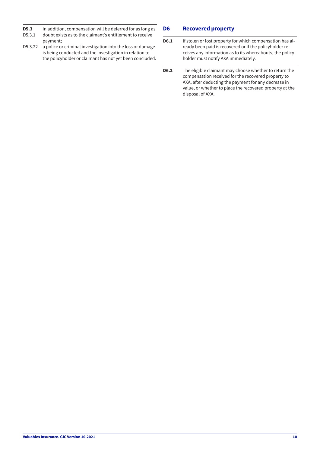- <span id="page-9-0"></span>**D5.3** In addition, compensation will be deferred for as long as <br>D5.3.1 doubt exists as to the claimant's entitlement to receive
- doubt exists as to the claimant's entitlement to receive payment;
- D5.3.22 a police or criminal investigation into the loss or damage is being conducted and the investigation in relation to the policyholder or claimant has not yet been concluded.

#### **D6 Recovered property**

- **D6.1** If stolen or lost property for which compensation has already been paid is recovered or if the policyholder receives any information as to its whereabouts, the policyholder must notify AXA immediately.
- **D6.2** The eligible claimant may choose whether to return the compensation received for the recovered property to AXA, after deducting the payment for any decrease in value, or whether to place the recovered property at the disposal of AXA.